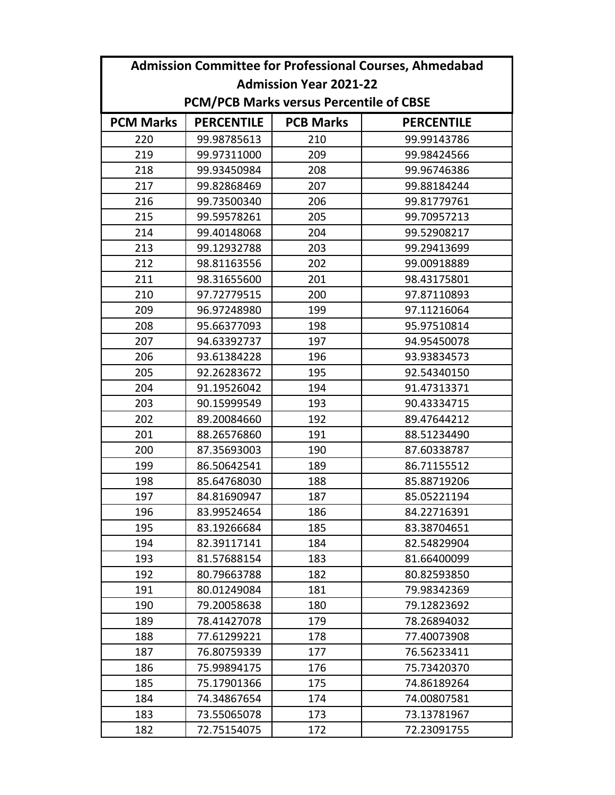|                               | <b>Admission Committee for Professional Courses, Ahmedabad</b> |                                                |                   |  |  |  |  |  |
|-------------------------------|----------------------------------------------------------------|------------------------------------------------|-------------------|--|--|--|--|--|
| <b>Admission Year 2021-22</b> |                                                                |                                                |                   |  |  |  |  |  |
|                               |                                                                | <b>PCM/PCB Marks versus Percentile of CBSE</b> |                   |  |  |  |  |  |
| <b>PCM Marks</b>              | <b>PERCENTILE</b>                                              | <b>PCB Marks</b>                               | <b>PERCENTILE</b> |  |  |  |  |  |
| 220                           | 99.98785613                                                    | 210                                            | 99.99143786       |  |  |  |  |  |
| 219                           | 99.97311000                                                    | 209                                            | 99.98424566       |  |  |  |  |  |
| 218                           | 99.93450984                                                    | 208                                            | 99.96746386       |  |  |  |  |  |
| 217                           | 99.82868469                                                    | 207                                            | 99.88184244       |  |  |  |  |  |
| 216                           | 99.73500340                                                    | 206                                            | 99.81779761       |  |  |  |  |  |
| 215                           | 99.59578261                                                    | 205                                            | 99.70957213       |  |  |  |  |  |
| 214                           | 99.40148068                                                    | 204                                            | 99.52908217       |  |  |  |  |  |
| 213                           | 99.12932788                                                    | 203                                            | 99.29413699       |  |  |  |  |  |
| 212                           | 98.81163556                                                    | 202                                            | 99.00918889       |  |  |  |  |  |
| 211                           | 98.31655600                                                    | 201                                            | 98.43175801       |  |  |  |  |  |
| 210                           | 97.72779515                                                    | 200                                            | 97.87110893       |  |  |  |  |  |
| 209                           | 96.97248980                                                    | 199                                            | 97.11216064       |  |  |  |  |  |
| 208                           | 95.66377093                                                    | 198                                            | 95.97510814       |  |  |  |  |  |
| 207                           | 94.63392737                                                    | 197                                            | 94.95450078       |  |  |  |  |  |
| 206                           | 93.61384228                                                    | 196                                            | 93.93834573       |  |  |  |  |  |
| 205                           | 92.26283672                                                    | 195                                            | 92.54340150       |  |  |  |  |  |
| 204                           | 91.19526042                                                    | 194                                            | 91.47313371       |  |  |  |  |  |
| 203                           | 90.15999549                                                    | 193                                            | 90.43334715       |  |  |  |  |  |
| 202                           | 89.20084660                                                    | 192                                            | 89.47644212       |  |  |  |  |  |
| 201                           | 88.26576860                                                    | 191                                            | 88.51234490       |  |  |  |  |  |
| 200                           | 87.35693003                                                    | 190                                            | 87.60338787       |  |  |  |  |  |
| 199                           | 86.50642541                                                    | 189                                            | 86.71155512       |  |  |  |  |  |
| 198                           | 85.64768030                                                    | 188                                            | 85.88719206       |  |  |  |  |  |
| 197                           | 84.81690947                                                    | 187                                            | 85.05221194       |  |  |  |  |  |
| 196                           | 83.99524654                                                    | 186                                            | 84.22716391       |  |  |  |  |  |
| 195                           | 83.19266684                                                    | 185                                            | 83.38704651       |  |  |  |  |  |
| 194                           | 82.39117141                                                    | 184                                            | 82.54829904       |  |  |  |  |  |
| 193                           | 81.57688154                                                    | 183                                            | 81.66400099       |  |  |  |  |  |
| 192                           | 80.79663788                                                    | 182                                            | 80.82593850       |  |  |  |  |  |
| 191                           | 80.01249084                                                    | 181                                            | 79.98342369       |  |  |  |  |  |
| 190                           | 79.20058638                                                    | 180                                            | 79.12823692       |  |  |  |  |  |
| 189                           | 78.41427078                                                    | 179                                            | 78.26894032       |  |  |  |  |  |
| 188                           | 77.61299221                                                    | 178                                            | 77.40073908       |  |  |  |  |  |
| 187                           | 76.80759339                                                    | 177                                            | 76.56233411       |  |  |  |  |  |
| 186                           | 75.99894175                                                    | 176                                            | 75.73420370       |  |  |  |  |  |
| 185                           | 75.17901366                                                    | 175                                            | 74.86189264       |  |  |  |  |  |
| 184                           | 74.34867654                                                    | 174                                            | 74.00807581       |  |  |  |  |  |
| 183                           | 73.55065078                                                    | 173                                            | 73.13781967       |  |  |  |  |  |
| 182                           | 72.75154075                                                    | 172                                            | 72.23091755       |  |  |  |  |  |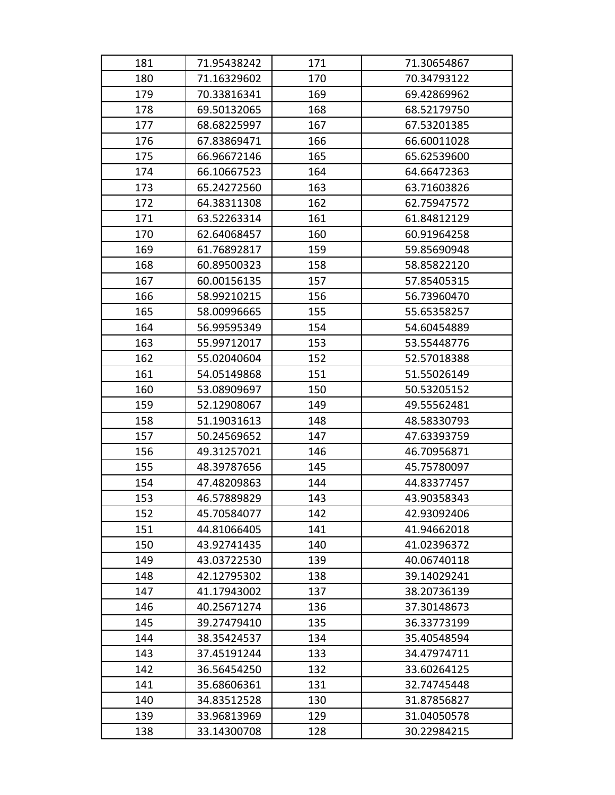| 181 | 71.95438242 | 171 | 71.30654867 |
|-----|-------------|-----|-------------|
| 180 | 71.16329602 | 170 | 70.34793122 |
| 179 | 70.33816341 | 169 | 69.42869962 |
| 178 | 69.50132065 | 168 | 68.52179750 |
| 177 | 68.68225997 | 167 | 67.53201385 |
| 176 | 67.83869471 | 166 | 66.60011028 |
| 175 | 66.96672146 | 165 | 65.62539600 |
| 174 | 66.10667523 | 164 | 64.66472363 |
| 173 | 65.24272560 | 163 | 63.71603826 |
| 172 | 64.38311308 | 162 | 62.75947572 |
| 171 | 63.52263314 | 161 | 61.84812129 |
| 170 | 62.64068457 | 160 | 60.91964258 |
| 169 | 61.76892817 | 159 | 59.85690948 |
| 168 | 60.89500323 | 158 | 58.85822120 |
| 167 | 60.00156135 | 157 | 57.85405315 |
| 166 | 58.99210215 | 156 | 56.73960470 |
| 165 | 58.00996665 | 155 | 55.65358257 |
| 164 | 56.99595349 | 154 | 54.60454889 |
| 163 | 55.99712017 | 153 | 53.55448776 |
| 162 | 55.02040604 | 152 | 52.57018388 |
| 161 | 54.05149868 | 151 | 51.55026149 |
| 160 | 53.08909697 | 150 | 50.53205152 |
| 159 | 52.12908067 | 149 | 49.55562481 |
| 158 | 51.19031613 | 148 | 48.58330793 |
| 157 | 50.24569652 | 147 | 47.63393759 |
| 156 | 49.31257021 | 146 | 46.70956871 |
| 155 | 48.39787656 | 145 | 45.75780097 |
| 154 | 47.48209863 | 144 | 44.83377457 |
| 153 | 46.57889829 | 143 | 43.90358343 |
| 152 | 45.70584077 | 142 | 42.93092406 |
| 151 | 44.81066405 | 141 | 41.94662018 |
| 150 | 43.92741435 | 140 | 41.02396372 |
| 149 | 43.03722530 | 139 | 40.06740118 |
| 148 | 42.12795302 | 138 | 39.14029241 |
| 147 | 41.17943002 | 137 | 38.20736139 |
| 146 | 40.25671274 | 136 | 37.30148673 |
| 145 | 39.27479410 | 135 | 36.33773199 |
| 144 | 38.35424537 | 134 | 35.40548594 |
| 143 | 37.45191244 | 133 | 34.47974711 |
| 142 | 36.56454250 | 132 | 33.60264125 |
| 141 | 35.68606361 | 131 | 32.74745448 |
| 140 | 34.83512528 | 130 | 31.87856827 |
| 139 | 33.96813969 | 129 | 31.04050578 |
| 138 | 33.14300708 | 128 | 30.22984215 |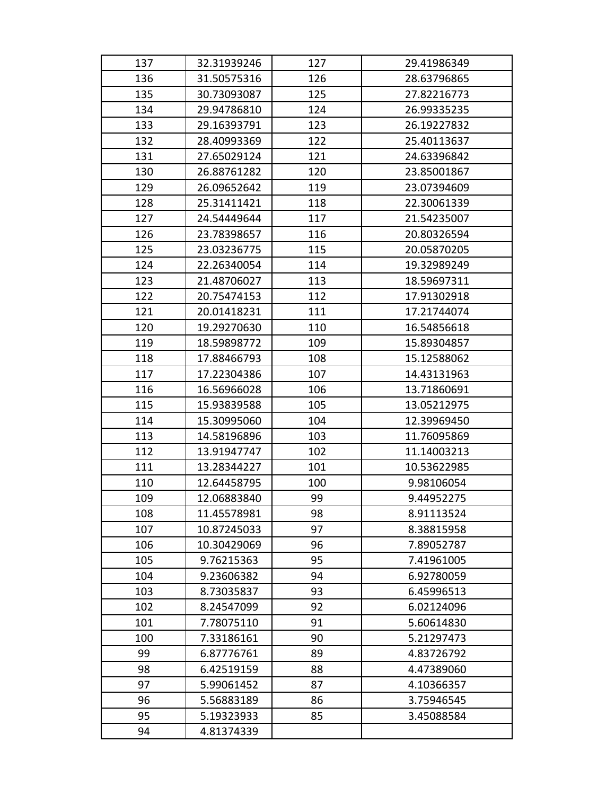| 137 | 32.31939246 | 127 | 29.41986349 |
|-----|-------------|-----|-------------|
| 136 | 31.50575316 | 126 | 28.63796865 |
| 135 | 30.73093087 | 125 | 27.82216773 |
| 134 | 29.94786810 | 124 | 26.99335235 |
| 133 | 29.16393791 | 123 | 26.19227832 |
| 132 | 28.40993369 | 122 | 25.40113637 |
| 131 | 27.65029124 | 121 | 24.63396842 |
| 130 | 26.88761282 | 120 | 23.85001867 |
| 129 | 26.09652642 | 119 | 23.07394609 |
| 128 | 25.31411421 | 118 | 22.30061339 |
| 127 | 24.54449644 | 117 | 21.54235007 |
| 126 | 23.78398657 | 116 | 20.80326594 |
| 125 | 23.03236775 | 115 | 20.05870205 |
| 124 | 22.26340054 | 114 | 19.32989249 |
| 123 | 21.48706027 | 113 | 18.59697311 |
| 122 | 20.75474153 | 112 | 17.91302918 |
| 121 | 20.01418231 | 111 | 17.21744074 |
| 120 | 19.29270630 | 110 | 16.54856618 |
| 119 | 18.59898772 | 109 | 15.89304857 |
| 118 | 17.88466793 | 108 | 15.12588062 |
| 117 | 17.22304386 | 107 | 14.43131963 |
| 116 | 16.56966028 | 106 | 13.71860691 |
| 115 | 15.93839588 | 105 | 13.05212975 |
| 114 | 15.30995060 | 104 | 12.39969450 |
| 113 | 14.58196896 | 103 | 11.76095869 |
| 112 | 13.91947747 | 102 | 11.14003213 |
| 111 | 13.28344227 | 101 | 10.53622985 |
| 110 | 12.64458795 | 100 | 9.98106054  |
| 109 | 12.06883840 | 99  | 9.44952275  |
| 108 | 11.45578981 | 98  | 8.91113524  |
| 107 | 10.87245033 | 97  | 8.38815958  |
| 106 | 10.30429069 | 96  | 7.89052787  |
| 105 | 9.76215363  | 95  | 7.41961005  |
| 104 | 9.23606382  | 94  | 6.92780059  |
| 103 | 8.73035837  | 93  | 6.45996513  |
| 102 | 8.24547099  | 92  | 6.02124096  |
| 101 | 7.78075110  | 91  | 5.60614830  |
| 100 | 7.33186161  | 90  | 5.21297473  |
| 99  | 6.87776761  | 89  | 4.83726792  |
| 98  | 6.42519159  | 88  | 4.47389060  |
| 97  | 5.99061452  | 87  | 4.10366357  |
| 96  | 5.56883189  | 86  | 3.75946545  |
| 95  | 5.19323933  | 85  | 3.45088584  |
| 94  | 4.81374339  |     |             |